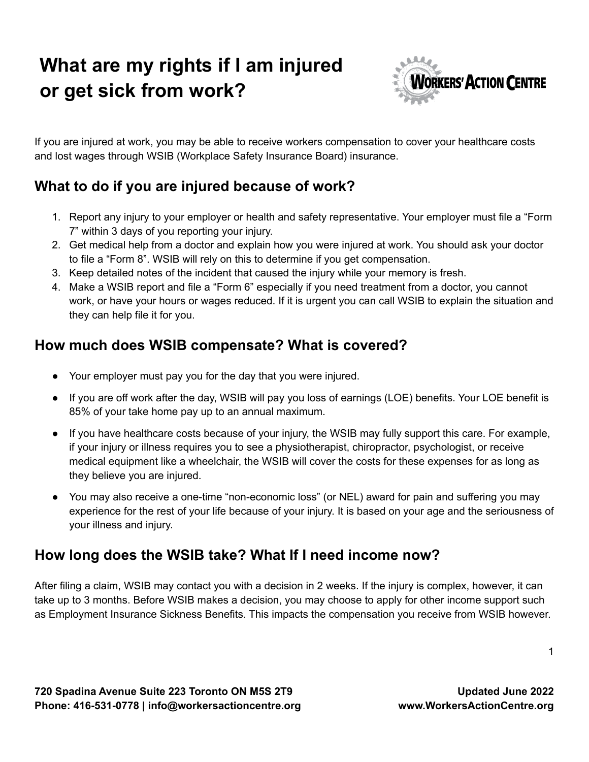# **What are my rights if I am injured or get sick from work?**



If you are injured at work, you may be able to receive workers compensation to cover your healthcare costs and lost wages through WSIB (Workplace Safety Insurance Board) insurance.

## **What to do if you are injured because of work?**

- 1. Report any injury to your employer or health and safety representative. Your employer must file a "Form 7" within 3 days of you reporting your injury.
- 2. Get medical help from a doctor and explain how you were injured at work. You should ask your doctor to file a "Form 8". WSIB will rely on this to determine if you get compensation.
- 3. Keep detailed notes of the incident that caused the injury while your memory is fresh.
- 4. Make a WSIB report and file a "Form 6" especially if you need treatment from a doctor, you cannot work, or have your hours or wages reduced. If it is urgent you can call WSIB to explain the situation and they can help file it for you.

## **How much does WSIB compensate? What is covered?**

- Your employer must pay you for the day that you were injured.
- If you are off work after the day, WSIB will pay you loss of earnings (LOE) benefits. Your LOE benefit is 85% of your take home pay up to an annual maximum.
- If you have healthcare costs because of your injury, the WSIB may fully support this care. For example, if your injury or illness requires you to see a physiotherapist, chiropractor, psychologist, or receive medical equipment like a wheelchair, the WSIB will cover the costs for these expenses for as long as they believe you are injured.
- You may also receive a one-time "non-economic loss" (or NEL) award for pain and suffering you may experience for the rest of your life because of your injury. It is based on your age and the seriousness of your illness and injury.

## **How long does the WSIB take? What If I need income now?**

After filing a claim, WSIB may contact you with a decision in 2 weeks. If the injury is complex, however, it can take up to 3 months. Before WSIB makes a decision, you may choose to apply for other income support such as Employment Insurance Sickness Benefits. This impacts the compensation you receive from WSIB however.